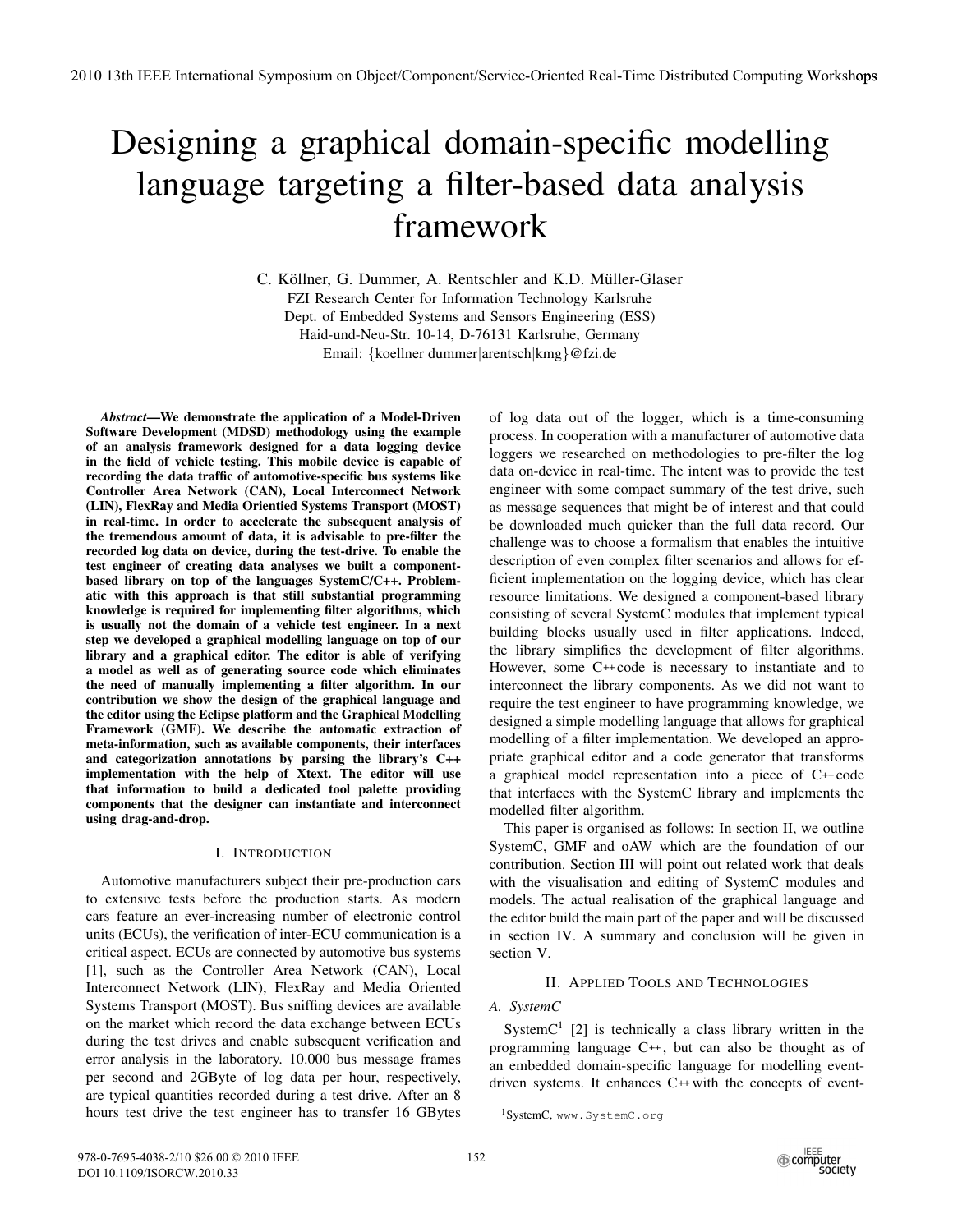# Designing a graphical domain-specific modelling language targeting a filter-based data analysis framework

C. Köllner, G. Dummer, A. Rentschler and K.D. Müller-Glaser FZI Research Center for Information Technology Karlsruhe Dept. of Embedded Systems and Sensors Engineering (ESS) Haid-und-Neu-Str. 10-14, D-76131 Karlsruhe, Germany Email: {koellner|dummer|arentsch|kmg}@fzi.de

*Abstract*—We demonstrate the application of a Model-Driven Software Development (MDSD) methodology using the example of an analysis framework designed for a data logging device in the field of vehicle testing. This mobile device is capable of recording the data traffic of automotive-specific bus systems like Controller Area Network (CAN), Local Interconnect Network (LIN), FlexRay and Media Orientied Systems Transport (MOST) in real-time. In order to accelerate the subsequent analysis of the tremendous amount of data, it is advisable to pre-filter the recorded log data on device, during the test-drive. To enable the test engineer of creating data analyses we built a componentbased library on top of the languages SystemC/C++. Problematic with this approach is that still substantial programming knowledge is required for implementing filter algorithms, which is usually not the domain of a vehicle test engineer. In a next step we developed a graphical modelling language on top of our library and a graphical editor. The editor is able of verifying a model as well as of generating source code which eliminates the need of manually implementing a filter algorithm. In our contribution we show the design of the graphical language and the editor using the Eclipse platform and the Graphical Modelling Framework (GMF). We describe the automatic extraction of meta-information, such as available components, their interfaces and categorization annotations by parsing the library's C++ implementation with the help of Xtext. The editor will use that information to build a dedicated tool palette providing components that the designer can instantiate and interconnect using drag-and-drop.

#### I. INTRODUCTION

Automotive manufacturers subject their pre-production cars to extensive tests before the production starts. As modern cars feature an ever-increasing number of electronic control units (ECUs), the verification of inter-ECU communication is a critical aspect. ECUs are connected by automotive bus systems [1], such as the Controller Area Network (CAN), Local Interconnect Network (LIN), FlexRay and Media Oriented Systems Transport (MOST). Bus sniffing devices are available on the market which record the data exchange between ECUs during the test drives and enable subsequent verification and error analysis in the laboratory. 10.000 bus message frames per second and 2GByte of log data per hour, respectively, are typical quantities recorded during a test drive. After an 8 hours test drive the test engineer has to transfer 16 GBytes of log data out of the logger, which is a time-consuming process. In cooperation with a manufacturer of automotive data loggers we researched on methodologies to pre-filter the log data on-device in real-time. The intent was to provide the test engineer with some compact summary of the test drive, such as message sequences that might be of interest and that could be downloaded much quicker than the full data record. Our challenge was to choose a formalism that enables the intuitive description of even complex filter scenarios and allows for efficient implementation on the logging device, which has clear resource limitations. We designed a component-based library consisting of several SystemC modules that implement typical building blocks usually used in filter applications. Indeed, the library simplifies the development of filter algorithms. However, some C++ code is necessary to instantiate and to interconnect the library components. As we did not want to require the test engineer to have programming knowledge, we designed a simple modelling language that allows for graphical modelling of a filter implementation. We developed an appropriate graphical editor and a code generator that transforms a graphical model representation into a piece of C++ code that interfaces with the SystemC library and implements the modelled filter algorithm.

This paper is organised as follows: In section II, we outline SystemC, GMF and oAW which are the foundation of our contribution. Section III will point out related work that deals with the visualisation and editing of SystemC modules and models. The actual realisation of the graphical language and the editor build the main part of the paper and will be discussed in section IV. A summary and conclusion will be given in section V.

# II. APPLIED TOOLS AND TECHNOLOGIES

# *A. SystemC*

System $C^1$  [2] is technically a class library written in the programming language  $C^{++}$ , but can also be thought as of an embedded domain-specific language for modelling eventdriven systems. It enhances  $C^{++}$  with the concepts of event-

<sup>1</sup>SystemC, www.SystemC.org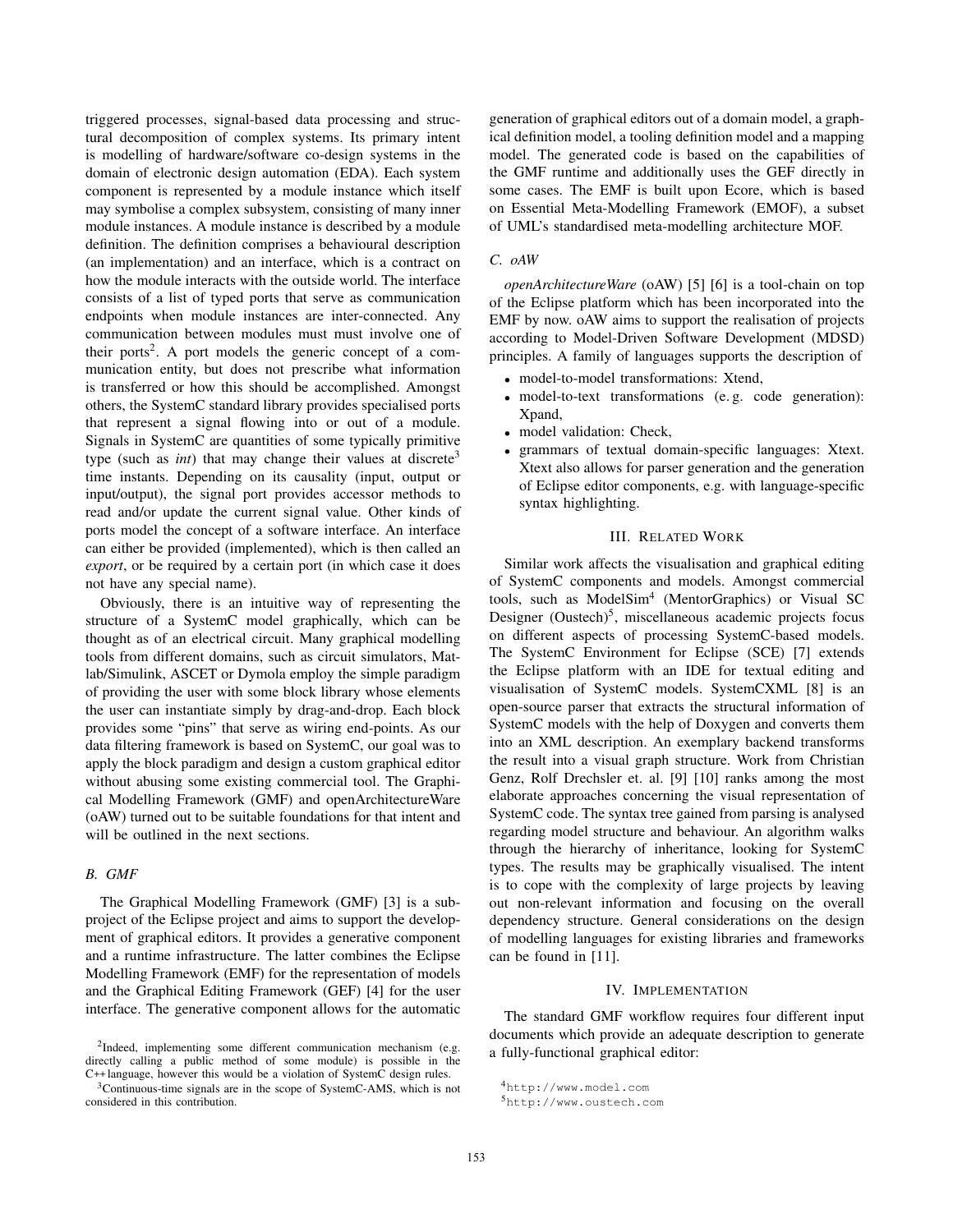triggered processes, signal-based data processing and structural decomposition of complex systems. Its primary intent is modelling of hardware/software co-design systems in the domain of electronic design automation (EDA). Each system component is represented by a module instance which itself may symbolise a complex subsystem, consisting of many inner module instances. A module instance is described by a module definition. The definition comprises a behavioural description (an implementation) and an interface, which is a contract on how the module interacts with the outside world. The interface consists of a list of typed ports that serve as communication endpoints when module instances are inter-connected. Any communication between modules must must involve one of their ports<sup>2</sup>. A port models the generic concept of a communication entity, but does not prescribe what information is transferred or how this should be accomplished. Amongst others, the SystemC standard library provides specialised ports that represent a signal flowing into or out of a module. Signals in SystemC are quantities of some typically primitive type (such as *int*) that may change their values at discrete<sup>3</sup> time instants. Depending on its causality (input, output or input/output), the signal port provides accessor methods to read and/or update the current signal value. Other kinds of ports model the concept of a software interface. An interface can either be provided (implemented), which is then called an *export*, or be required by a certain port (in which case it does not have any special name).

Obviously, there is an intuitive way of representing the structure of a SystemC model graphically, which can be thought as of an electrical circuit. Many graphical modelling tools from different domains, such as circuit simulators, Matlab/Simulink, ASCET or Dymola employ the simple paradigm of providing the user with some block library whose elements the user can instantiate simply by drag-and-drop. Each block provides some "pins" that serve as wiring end-points. As our data filtering framework is based on SystemC, our goal was to apply the block paradigm and design a custom graphical editor without abusing some existing commercial tool. The Graphical Modelling Framework (GMF) and openArchitectureWare (oAW) turned out to be suitable foundations for that intent and will be outlined in the next sections.

#### *B. GMF*

The Graphical Modelling Framework (GMF) [3] is a subproject of the Eclipse project and aims to support the development of graphical editors. It provides a generative component and a runtime infrastructure. The latter combines the Eclipse Modelling Framework (EMF) for the representation of models and the Graphical Editing Framework (GEF) [4] for the user interface. The generative component allows for the automatic generation of graphical editors out of a domain model, a graphical definition model, a tooling definition model and a mapping model. The generated code is based on the capabilities of the GMF runtime and additionally uses the GEF directly in some cases. The EMF is built upon Ecore, which is based on Essential Meta-Modelling Framework (EMOF), a subset of UML's standardised meta-modelling architecture MOF.

#### *C. oAW*

*openArchitectureWare* (oAW) [5] [6] is a tool-chain on top of the Eclipse platform which has been incorporated into the EMF by now. oAW aims to support the realisation of projects according to Model-Driven Software Development (MDSD) principles. A family of languages supports the description of

- model-to-model transformations: Xtend,
- model-to-text transformations (e.g. code generation): Xpand,
- model validation: Check.
- grammars of textual domain-specific languages: Xtext. Xtext also allows for parser generation and the generation of Eclipse editor components, e.g. with language-specific syntax highlighting.

#### III. RELATED WORK

Similar work affects the visualisation and graphical editing of SystemC components and models. Amongst commercial tools, such as ModelSim<sup>4</sup> (MentorGraphics) or Visual SC Designer (Oustech)<sup>5</sup>, miscellaneous academic projects focus on different aspects of processing SystemC-based models. The SystemC Environment for Eclipse (SCE) [7] extends the Eclipse platform with an IDE for textual editing and visualisation of SystemC models. SystemCXML [8] is an open-source parser that extracts the structural information of SystemC models with the help of Doxygen and converts them into an XML description. An exemplary backend transforms the result into a visual graph structure. Work from Christian Genz, Rolf Drechsler et. al. [9] [10] ranks among the most elaborate approaches concerning the visual representation of SystemC code. The syntax tree gained from parsing is analysed regarding model structure and behaviour. An algorithm walks through the hierarchy of inheritance, looking for SystemC types. The results may be graphically visualised. The intent is to cope with the complexity of large projects by leaving out non-relevant information and focusing on the overall dependency structure. General considerations on the design of modelling languages for existing libraries and frameworks can be found in [11].

#### IV. IMPLEMENTATION

The standard GMF workflow requires four different input documents which provide an adequate description to generate a fully-functional graphical editor:

<sup>&</sup>lt;sup>2</sup>Indeed, implementing some different communication mechanism (e.g. directly calling a public method of some module) is possible in the C++ language, however this would be a violation of SystemC design rules.

<sup>3</sup>Continuous-time signals are in the scope of SystemC-AMS, which is not considered in this contribution.

<sup>4</sup>http://www.model.com

<sup>5</sup>http://www.oustech.com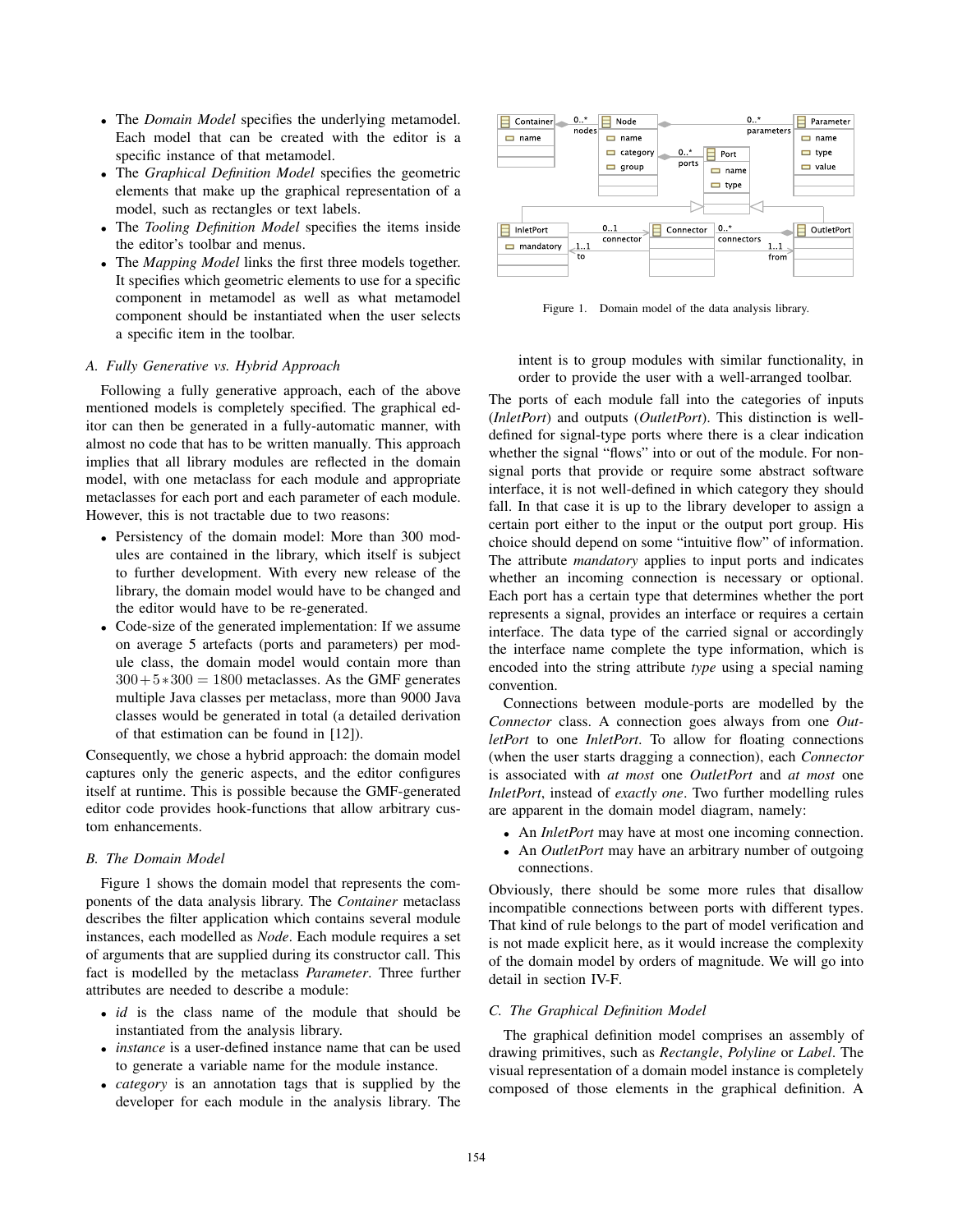- The *Domain Model* specifies the underlying metamodel. Each model that can be created with the editor is a specific instance of that metamodel.
- The *Graphical Definition Model* specifies the geometric elements that make up the graphical representation of a model, such as rectangles or text labels.
- The *Tooling Definition Model* specifies the items inside the editor's toolbar and menus.
- The *Mapping Model* links the first three models together. It specifies which geometric elements to use for a specific component in metamodel as well as what metamodel component should be instantiated when the user selects a specific item in the toolbar.

# *A. Fully Generative vs. Hybrid Approach*

Following a fully generative approach, each of the above mentioned models is completely specified. The graphical editor can then be generated in a fully-automatic manner, with almost no code that has to be written manually. This approach implies that all library modules are reflected in the domain model, with one metaclass for each module and appropriate metaclasses for each port and each parameter of each module. However, this is not tractable due to two reasons:

- Persistency of the domain model: More than 300 modules are contained in the library, which itself is subject to further development. With every new release of the library, the domain model would have to be changed and the editor would have to be re-generated.
- Code-size of the generated implementation: If we assume on average 5 artefacts (ports and parameters) per module class, the domain model would contain more than  $300+5*300 = 1800$  metaclasses. As the GMF generates multiple Java classes per metaclass, more than 9000 Java classes would be generated in total (a detailed derivation of that estimation can be found in [12]).

Consequently, we chose a hybrid approach: the domain model captures only the generic aspects, and the editor configures itself at runtime. This is possible because the GMF-generated editor code provides hook-functions that allow arbitrary custom enhancements.

# *B. The Domain Model*

Figure 1 shows the domain model that represents the components of the data analysis library. The *Container* metaclass describes the filter application which contains several module instances, each modelled as *Node*. Each module requires a set of arguments that are supplied during its constructor call. This fact is modelled by the metaclass *Parameter*. Three further attributes are needed to describe a module:

- *id* is the class name of the module that should be instantiated from the analysis library.
- *instance* is a user-defined instance name that can be used to generate a variable name for the module instance.
- *category* is an annotation tags that is supplied by the developer for each module in the analysis library. The



Figure 1. Domain model of the data analysis library.

intent is to group modules with similar functionality, in order to provide the user with a well-arranged toolbar.

The ports of each module fall into the categories of inputs (*InletPort*) and outputs (*OutletPort*). This distinction is welldefined for signal-type ports where there is a clear indication whether the signal "flows" into or out of the module. For nonsignal ports that provide or require some abstract software interface, it is not well-defined in which category they should fall. In that case it is up to the library developer to assign a certain port either to the input or the output port group. His choice should depend on some "intuitive flow" of information. The attribute *mandatory* applies to input ports and indicates whether an incoming connection is necessary or optional. Each port has a certain type that determines whether the port represents a signal, provides an interface or requires a certain interface. The data type of the carried signal or accordingly the interface name complete the type information, which is encoded into the string attribute *type* using a special naming convention.

Connections between module-ports are modelled by the *Connector* class. A connection goes always from one *OutletPort* to one *InletPort*. To allow for floating connections (when the user starts dragging a connection), each *Connector* is associated with *at most* one *OutletPort* and *at most* one *InletPort*, instead of *exactly one*. Two further modelling rules are apparent in the domain model diagram, namely:

- An *InletPort* may have at most one incoming connection.
- An *OutletPort* may have an arbitrary number of outgoing connections.

Obviously, there should be some more rules that disallow incompatible connections between ports with different types. That kind of rule belongs to the part of model verification and is not made explicit here, as it would increase the complexity of the domain model by orders of magnitude. We will go into detail in section IV-F.

# *C. The Graphical Definition Model*

The graphical definition model comprises an assembly of drawing primitives, such as *Rectangle*, *Polyline* or *Label*. The visual representation of a domain model instance is completely composed of those elements in the graphical definition. A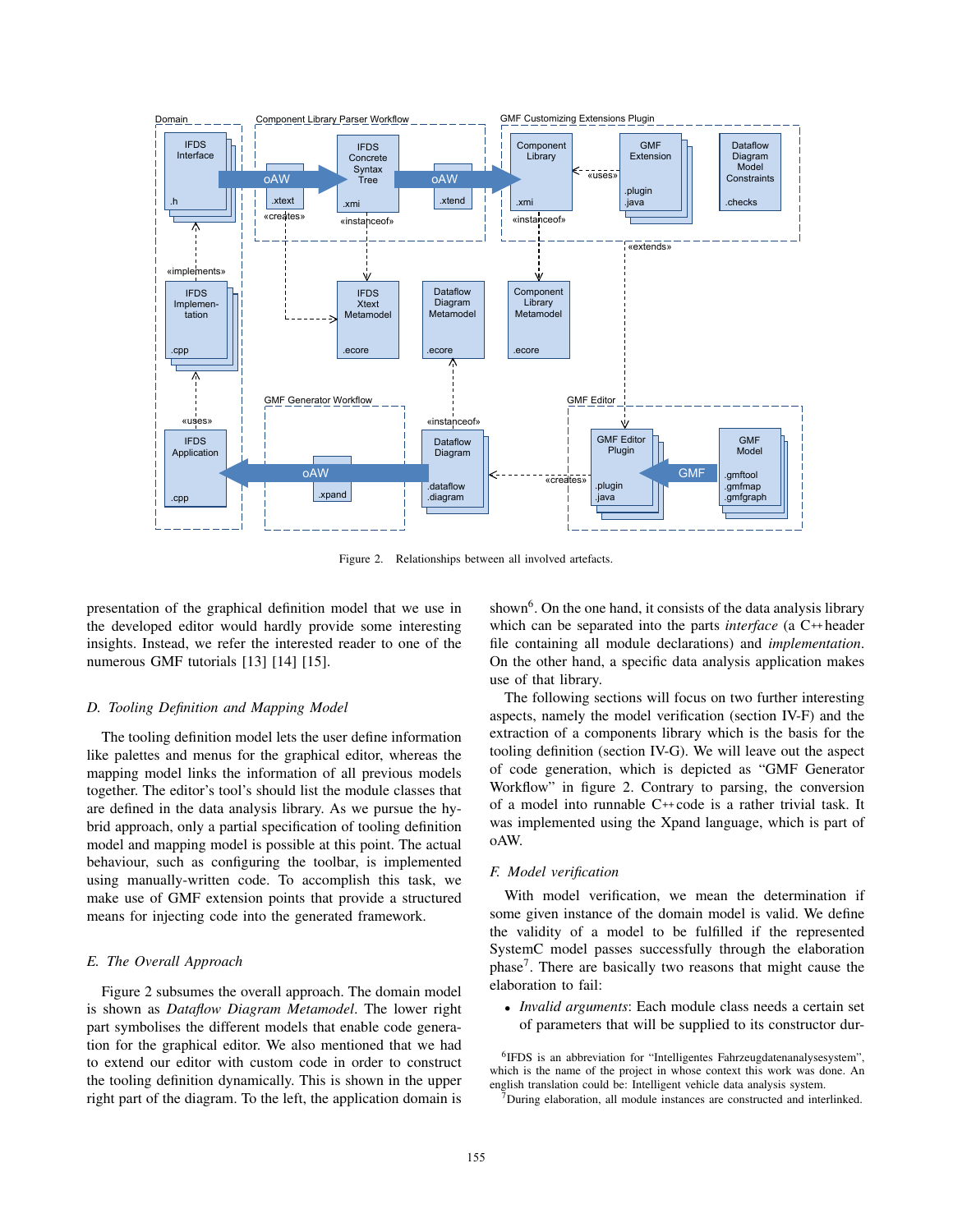

Figure 2. Relationships between all involved artefacts.

presentation of the graphical definition model that we use in the developed editor would hardly provide some interesting insights. Instead, we refer the interested reader to one of the numerous GMF tutorials [13] [14] [15].

# *D. Tooling Definition and Mapping Model*

The tooling definition model lets the user define information like palettes and menus for the graphical editor, whereas the mapping model links the information of all previous models together. The editor's tool's should list the module classes that are defined in the data analysis library. As we pursue the hybrid approach, only a partial specification of tooling definition model and mapping model is possible at this point. The actual behaviour, such as configuring the toolbar, is implemented using manually-written code. To accomplish this task, we make use of GMF extension points that provide a structured means for injecting code into the generated framework.

#### *E. The Overall Approach*

Figure 2 subsumes the overall approach. The domain model is shown as *Dataflow Diagram Metamodel*. The lower right part symbolises the different models that enable code generation for the graphical editor. We also mentioned that we had to extend our editor with custom code in order to construct the tooling definition dynamically. This is shown in the upper right part of the diagram. To the left, the application domain is

shown<sup>6</sup>. On the one hand, it consists of the data analysis library which can be separated into the parts *interface* (a C++ header file containing all module declarations) and *implementation*. On the other hand, a specific data analysis application makes use of that library.

The following sections will focus on two further interesting aspects, namely the model verification (section IV-F) and the extraction of a components library which is the basis for the tooling definition (section IV-G). We will leave out the aspect of code generation, which is depicted as "GMF Generator Workflow" in figure 2. Contrary to parsing, the conversion of a model into runnable C++ code is a rather trivial task. It was implemented using the Xpand language, which is part of oAW.

# *F. Model verification*

With model verification, we mean the determination if some given instance of the domain model is valid. We define the validity of a model to be fulfilled if the represented SystemC model passes successfully through the elaboration phase<sup>7</sup> . There are basically two reasons that might cause the elaboration to fail:

• *Invalid arguments*: Each module class needs a certain set of parameters that will be supplied to its constructor dur-

<sup>6</sup>IFDS is an abbreviation for "Intelligentes Fahrzeugdatenanalysesystem", which is the name of the project in whose context this work was done. An english translation could be: Intelligent vehicle data analysis system.

<sup>7</sup>During elaboration, all module instances are constructed and interlinked.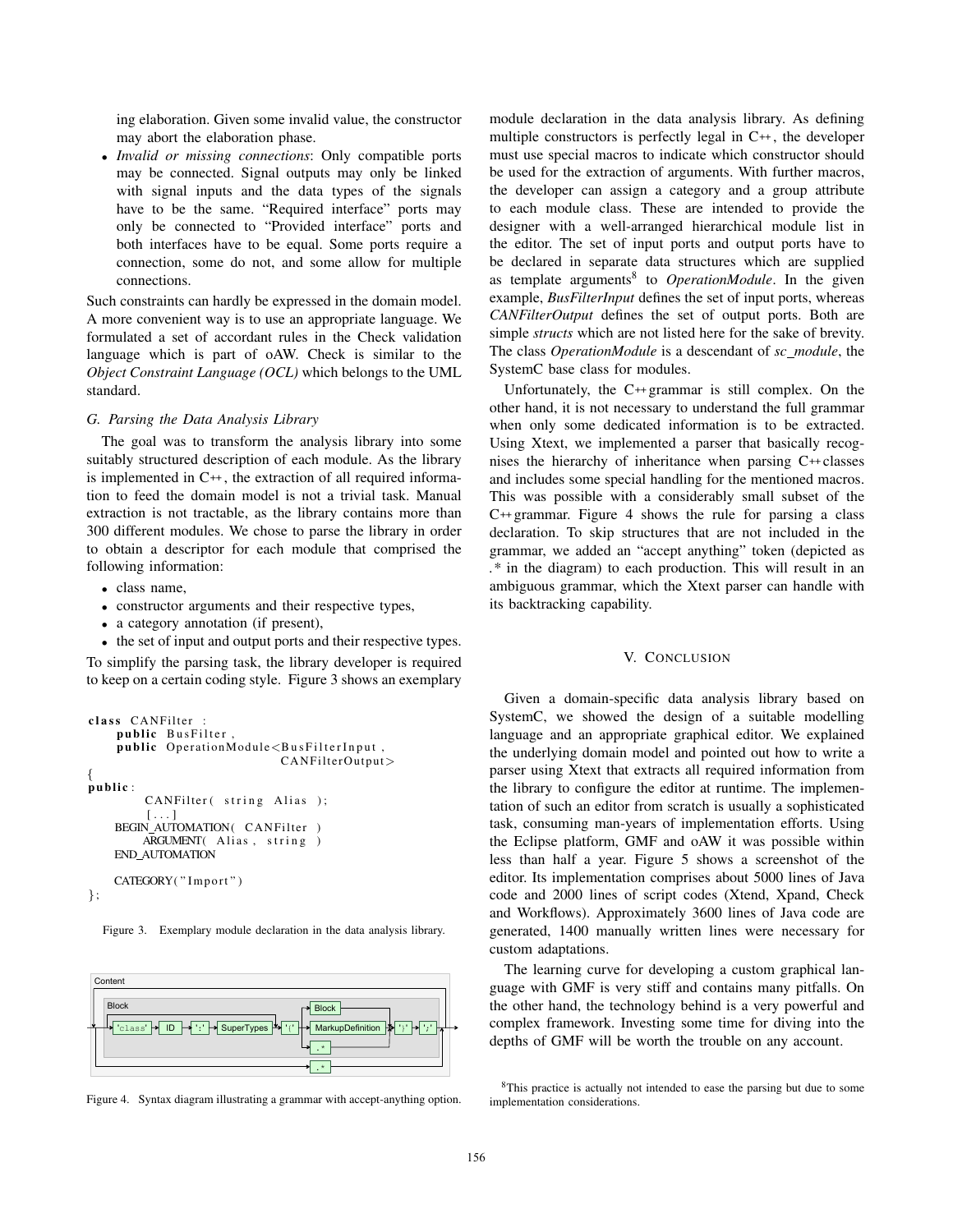ing elaboration. Given some invalid value, the constructor may abort the elaboration phase.

• *Invalid or missing connections*: Only compatible ports may be connected. Signal outputs may only be linked with signal inputs and the data types of the signals have to be the same. "Required interface" ports may only be connected to "Provided interface" ports and both interfaces have to be equal. Some ports require a connection, some do not, and some allow for multiple connections.

Such constraints can hardly be expressed in the domain model. A more convenient way is to use an appropriate language. We formulated a set of accordant rules in the Check validation language which is part of oAW. Check is similar to the *Object Constraint Language (OCL)* which belongs to the UML standard.

### *G. Parsing the Data Analysis Library*

The goal was to transform the analysis library into some suitably structured description of each module. As the library is implemented in  $C_{++}$ , the extraction of all required information to feed the domain model is not a trivial task. Manual extraction is not tractable, as the library contains more than 300 different modules. We chose to parse the library in order to obtain a descriptor for each module that comprised the following information:

- class name,
- constructor arguments and their respective types,
- a category annotation (if present),

• the set of input and output ports and their respective types. To simplify the parsing task, the library developer is required to keep on a certain coding style. Figure 3 shows an exemplary

```
class CANFilter :
    public BusFilter,
    public OperationModule<BusFilterInput,
                            CANFilterOutput{
public :
        CANFilter (string Alias);
        [...]BEGIN_AUTOMATION( CANFilter )
        ARGUMENT( Alias, string )
   END AUTOMATION
   CATEGORY("Import")
};
```
Figure 3. Exemplary module declaration in the data analysis library.



Figure 4. Syntax diagram illustrating a grammar with accept-anything option.

module declaration in the data analysis library. As defining multiple constructors is perfectly legal in C++ , the developer must use special macros to indicate which constructor should be used for the extraction of arguments. With further macros, the developer can assign a category and a group attribute to each module class. These are intended to provide the designer with a well-arranged hierarchical module list in the editor. The set of input ports and output ports have to be declared in separate data structures which are supplied as template arguments<sup>8</sup> to *OperationModule*. In the given example, *BusFilterInput* defines the set of input ports, whereas *CANFilterOutput* defines the set of output ports. Both are simple *structs* which are not listed here for the sake of brevity. The class *OperationModule* is a descendant of *sc module*, the SystemC base class for modules.

Unfortunately, the  $C^{++}$  grammar is still complex. On the other hand, it is not necessary to understand the full grammar when only some dedicated information is to be extracted. Using Xtext, we implemented a parser that basically recognises the hierarchy of inheritance when parsing C++ classes and includes some special handling for the mentioned macros. This was possible with a considerably small subset of the  $C^{++}$  grammar. Figure 4 shows the rule for parsing a class declaration. To skip structures that are not included in the grammar, we added an "accept anything" token (depicted as *.\** in the diagram) to each production. This will result in an ambiguous grammar, which the Xtext parser can handle with its backtracking capability.

# V. CONCLUSION

Given a domain-specific data analysis library based on SystemC, we showed the design of a suitable modelling language and an appropriate graphical editor. We explained the underlying domain model and pointed out how to write a parser using Xtext that extracts all required information from the library to configure the editor at runtime. The implementation of such an editor from scratch is usually a sophisticated task, consuming man-years of implementation efforts. Using the Eclipse platform, GMF and oAW it was possible within less than half a year. Figure 5 shows a screenshot of the editor. Its implementation comprises about 5000 lines of Java code and 2000 lines of script codes (Xtend, Xpand, Check and Workflows). Approximately 3600 lines of Java code are generated, 1400 manually written lines were necessary for custom adaptations.

The learning curve for developing a custom graphical language with GMF is very stiff and contains many pitfalls. On the other hand, the technology behind is a very powerful and complex framework. Investing some time for diving into the depths of GMF will be worth the trouble on any account.

<sup>&</sup>lt;sup>8</sup>This practice is actually not intended to ease the parsing but due to some implementation considerations.